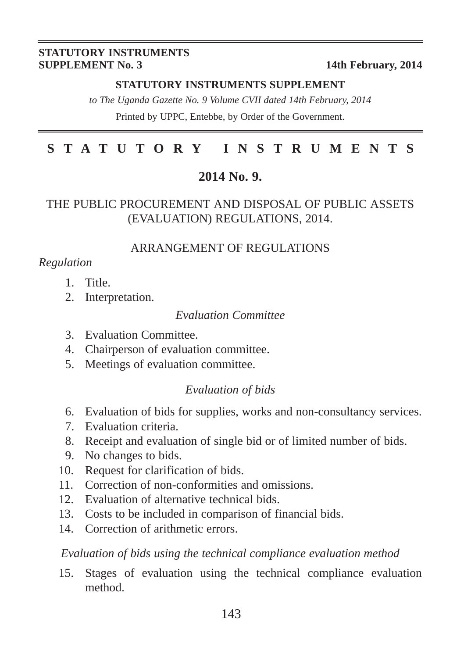#### **STATUTORY INSTRUMENTS SUPPLEMENT No. 3** 14th February, 2014

#### **STATUTORY INSTRUMENTS SUPPLEMENT**

*to The Uganda Gazette No. 9 Volume CVII dated 14th February, 2014* Printed by UPPC, Entebbe, by Order of the Government.

# **STATUTORY INSTRUMENTS**

#### **2014 No. 9.**

#### THE PUBLIC PROCUREMENT AND DISPOSAL OF PUBLIC ASSETS (EVALUATION) REGULATIONS, 2014.

#### ARRANGEMENT OF REGULATIONS

#### *Regulation*

- 1. Title.
- 2. Interpretation.

#### *Evaluation Committee*

- 3. Evaluation Committee.
- 4. Chairperson of evaluation committee.
- 5. Meetings of evaluation committee.

#### *Evaluation of bids*

- 6. Evaluation of bids for supplies, works and non-consultancy services.
- 7. Evaluation criteria.
- 8. Receipt and evaluation of single bid or of limited number of bids.
- 9. No changes to bids.
- 10. Request for clarification of bids.
- 11. Correction of non-conformities and omissions.
- 12. Evaluation of alternative technical bids.
- 13. Costs to be included in comparison of financial bids.
- 14. Correction of arithmetic errors.

#### *Evaluation of bids using the technical compliance evaluation method*

15. Stages of evaluation using the technical compliance evaluation method.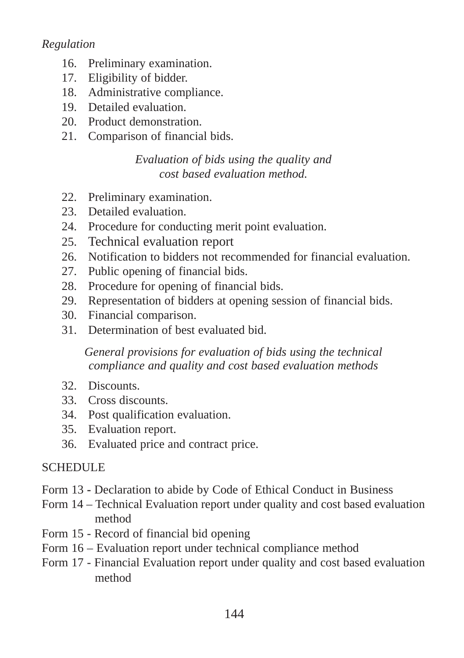*Regulation*

- 16. Preliminary examination.
- 17. Eligibility of bidder.
- 18. Administrative compliance.
- 19. Detailed evaluation.
- 20. Product demonstration.
- 21. Comparison of financial bids.

### *Evaluation of bids using the quality and cost based evaluation method.*

- 22. Preliminary examination.
- 23. Detailed evaluation.
- 24. Procedure for conducting merit point evaluation.
- 25. Technical evaluation report
- 26. Notification to bidders not recommended for financial evaluation.
- 27. Public opening of financial bids.
- 28. Procedure for opening of financial bids.
- 29. Representation of bidders at opening session of financial bids.
- 30. Financial comparison.
- 31. Determination of best evaluated bid.

#### *General provisions for evaluation of bids using the technical compliance and quality and cost based evaluation methods*

- 32. Discounts.
- 33. Cross discounts.
- 34. Post qualification evaluation.
- 35. Evaluation report.
- 36. Evaluated price and contract price.

#### **SCHEDULE**

- Form 13 Declaration to abide by Code of Ethical Conduct in Business
- Form 14 Technical Evaluation report under quality and cost based evaluation method
- Form 15 Record of financial bid opening
- Form 16 Evaluation report under technical compliance method
- Form 17 Financial Evaluation report under quality and cost based evaluation method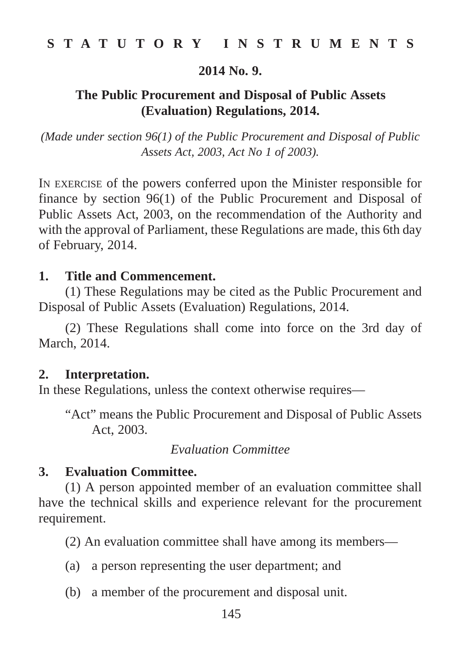#### **2014 No. 9.**

## **The Public Procurement and Disposal of Public Assets (Evaluation) Regulations, 2014.**

*(Made under section 96(1) of the Public Procurement and Disposal of Public Assets Act, 2003, Act No 1 of 2003).*

IN EXERCISE of the powers conferred upon the Minister responsible for finance by section 96(1) of the Public Procurement and Disposal of Public Assets Act, 2003, on the recommendation of the Authority and with the approval of Parliament, these Regulations are made, this 6th day of February, 2014.

#### **1. Title and Commencement.**

(1) These Regulations may be cited as the Public Procurement and Disposal of Public Assets (Evaluation) Regulations, 2014.

(2) These Regulations shall come into force on the 3rd day of March, 2014.

#### **2. Interpretation.**

In these Regulations, unless the context otherwise requires—

"Act" means the Public Procurement and Disposal of Public Assets Act, 2003.

#### *Evaluation Committee*

#### **3. Evaluation Committee.**

(1) A person appointed member of an evaluation committee shall have the technical skills and experience relevant for the procurement requirement.

(2) An evaluation committee shall have among its members—

- (a) a person representing the user department; and
- (b) a member of the procurement and disposal unit.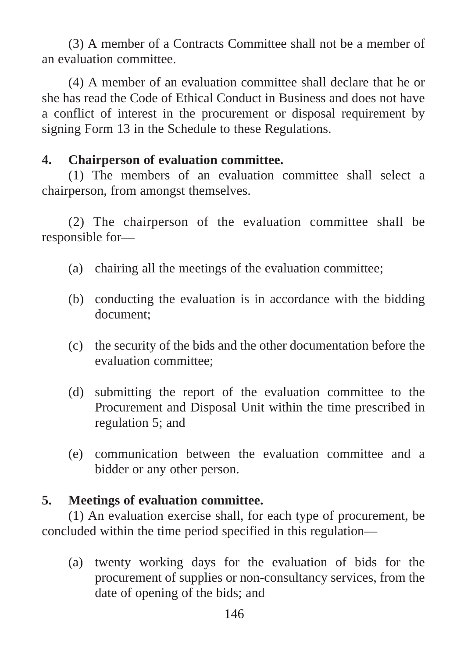(3) A member of a Contracts Committee shall not be a member of an evaluation committee.

(4) A member of an evaluation committee shall declare that he or she has read the Code of Ethical Conduct in Business and does not have a conflict of interest in the procurement or disposal requirement by signing Form 13 in the Schedule to these Regulations.

# **4. Chairperson of evaluation committee.**

(1) The members of an evaluation committee shall select a chairperson, from amongst themselves.

(2) The chairperson of the evaluation committee shall be responsible for—

- (a) chairing all the meetings of the evaluation committee;
- (b) conducting the evaluation is in accordance with the bidding document;
- (c) the security of the bids and the other documentation before the evaluation committee;
- (d) submitting the report of the evaluation committee to the Procurement and Disposal Unit within the time prescribed in regulation 5; and
- (e) communication between the evaluation committee and a bidder or any other person.

# **5. Meetings of evaluation committee.**

(1) An evaluation exercise shall, for each type of procurement, be concluded within the time period specified in this regulation—

(a) twenty working days for the evaluation of bids for the procurement of supplies or non-consultancy services, from the date of opening of the bids; and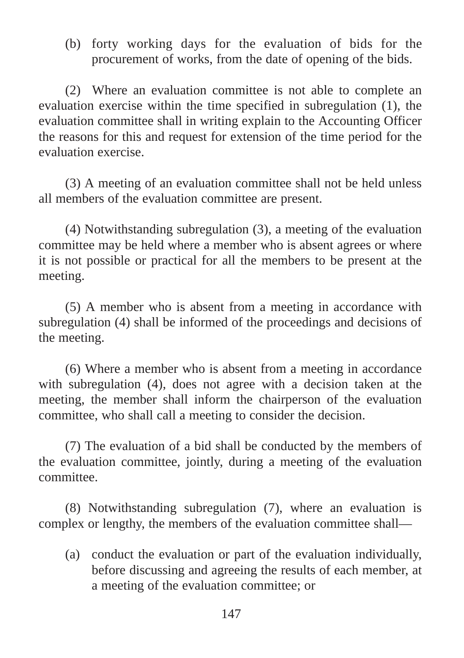(b) forty working days for the evaluation of bids for the procurement of works, from the date of opening of the bids.

(2) Where an evaluation committee is not able to complete an evaluation exercise within the time specified in subregulation (1), the evaluation committee shall in writing explain to the Accounting Officer the reasons for this and request for extension of the time period for the evaluation exercise.

(3) A meeting of an evaluation committee shall not be held unless all members of the evaluation committee are present.

(4) Notwithstanding subregulation (3), a meeting of the evaluation committee may be held where a member who is absent agrees or where it is not possible or practical for all the members to be present at the meeting.

(5) A member who is absent from a meeting in accordance with subregulation (4) shall be informed of the proceedings and decisions of the meeting.

(6) Where a member who is absent from a meeting in accordance with subregulation (4), does not agree with a decision taken at the meeting, the member shall inform the chairperson of the evaluation committee, who shall call a meeting to consider the decision.

(7) The evaluation of a bid shall be conducted by the members of the evaluation committee, jointly, during a meeting of the evaluation committee.

(8) Notwithstanding subregulation (7), where an evaluation is complex or lengthy, the members of the evaluation committee shall—

(a) conduct the evaluation or part of the evaluation individually, before discussing and agreeing the results of each member, at a meeting of the evaluation committee; or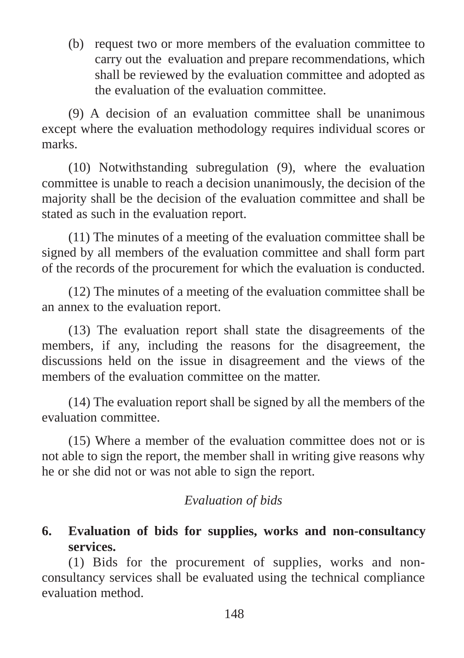(b) request two or more members of the evaluation committee to carry out the evaluation and prepare recommendations, which shall be reviewed by the evaluation committee and adopted as the evaluation of the evaluation committee.

(9) A decision of an evaluation committee shall be unanimous except where the evaluation methodology requires individual scores or marks.

(10) Notwithstanding subregulation (9), where the evaluation committee is unable to reach a decision unanimously, the decision of the majority shall be the decision of the evaluation committee and shall be stated as such in the evaluation report.

(11) The minutes of a meeting of the evaluation committee shall be signed by all members of the evaluation committee and shall form part of the records of the procurement for which the evaluation is conducted.

(12) The minutes of a meeting of the evaluation committee shall be an annex to the evaluation report.

(13) The evaluation report shall state the disagreements of the members, if any, including the reasons for the disagreement, the discussions held on the issue in disagreement and the views of the members of the evaluation committee on the matter.

(14) The evaluation report shall be signed by all the members of the evaluation committee.

(15) Where a member of the evaluation committee does not or is not able to sign the report, the member shall in writing give reasons why he or she did not or was not able to sign the report.

# *Evaluation of bids*

# **6. Evaluation of bids for supplies, works and non-consultancy services.**

(1) Bids for the procurement of supplies, works and nonconsultancy services shall be evaluated using the technical compliance evaluation method.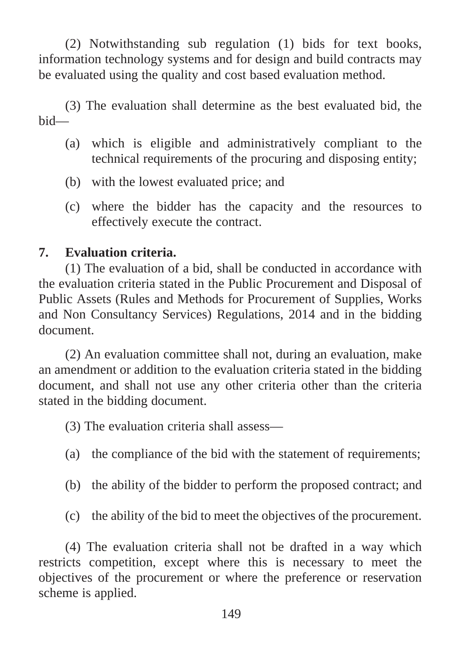(2) Notwithstanding sub regulation (1) bids for text books, information technology systems and for design and build contracts may be evaluated using the quality and cost based evaluation method.

(3) The evaluation shall determine as the best evaluated bid, the bid—

- (a) which is eligible and administratively compliant to the technical requirements of the procuring and disposing entity;
- (b) with the lowest evaluated price; and
- (c) where the bidder has the capacity and the resources to effectively execute the contract.

## **7. Evaluation criteria.**

(1) The evaluation of a bid, shall be conducted in accordance with the evaluation criteria stated in the Public Procurement and Disposal of Public Assets (Rules and Methods for Procurement of Supplies, Works and Non Consultancy Services) Regulations, 2014 and in the bidding document.

(2) An evaluation committee shall not, during an evaluation, make an amendment or addition to the evaluation criteria stated in the bidding document, and shall not use any other criteria other than the criteria stated in the bidding document.

(3) The evaluation criteria shall assess—

- (a) the compliance of the bid with the statement of requirements;
- (b) the ability of the bidder to perform the proposed contract; and
- (c) the ability of the bid to meet the objectives of the procurement.

(4) The evaluation criteria shall not be drafted in a way which restricts competition, except where this is necessary to meet the objectives of the procurement or where the preference or reservation scheme is applied.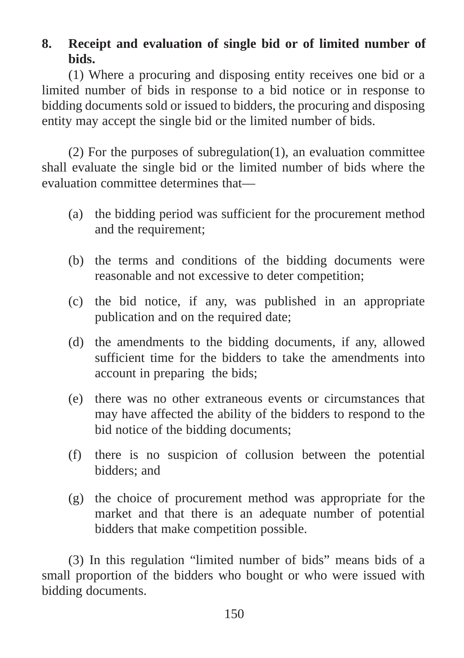# **8. Receipt and evaluation of single bid or of limited number of bids.**

(1) Where a procuring and disposing entity receives one bid or a limited number of bids in response to a bid notice or in response to bidding documents sold or issued to bidders, the procuring and disposing entity may accept the single bid or the limited number of bids.

(2) For the purposes of subregulation(1), an evaluation committee shall evaluate the single bid or the limited number of bids where the evaluation committee determines that—

- (a) the bidding period was sufficient for the procurement method and the requirement;
- (b) the terms and conditions of the bidding documents were reasonable and not excessive to deter competition;
- (c) the bid notice, if any, was published in an appropriate publication and on the required date;
- (d) the amendments to the bidding documents, if any, allowed sufficient time for the bidders to take the amendments into account in preparing the bids;
- (e) there was no other extraneous events or circumstances that may have affected the ability of the bidders to respond to the bid notice of the bidding documents;
- (f) there is no suspicion of collusion between the potential bidders; and
- (g) the choice of procurement method was appropriate for the market and that there is an adequate number of potential bidders that make competition possible.

(3) In this regulation "limited number of bids" means bids of a small proportion of the bidders who bought or who were issued with bidding documents.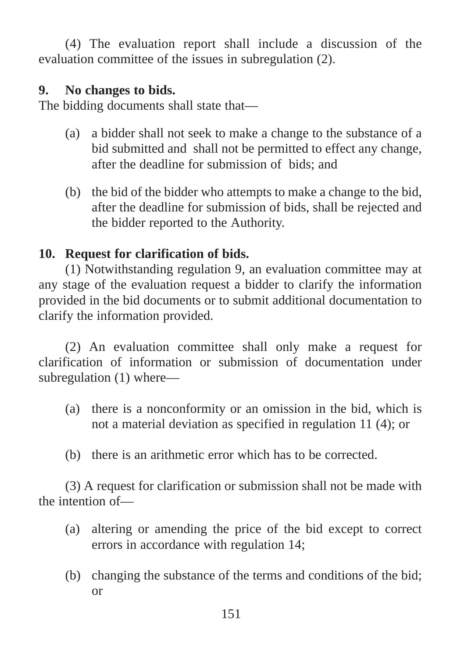(4) The evaluation report shall include a discussion of the evaluation committee of the issues in subregulation (2).

## **9. No changes to bids.**

The bidding documents shall state that—

- (a) a bidder shall not seek to make a change to the substance of a bid submitted and shall not be permitted to effect any change, after the deadline for submission of bids; and
- (b) the bid of the bidder who attempts to make a change to the bid, after the deadline for submission of bids, shall be rejected and the bidder reported to the Authority.

# **10. Request for clarification of bids.**

(1) Notwithstanding regulation 9, an evaluation committee may at any stage of the evaluation request a bidder to clarify the information provided in the bid documents or to submit additional documentation to clarify the information provided.

(2) An evaluation committee shall only make a request for clarification of information or submission of documentation under subregulation (1) where—

- (a) there is a nonconformity or an omission in the bid, which is not a material deviation as specified in regulation 11 (4); or
- (b) there is an arithmetic error which has to be corrected.

(3) A request for clarification or submission shall not be made with the intention of—

- (a) altering or amending the price of the bid except to correct errors in accordance with regulation 14;
- (b) changing the substance of the terms and conditions of the bid; or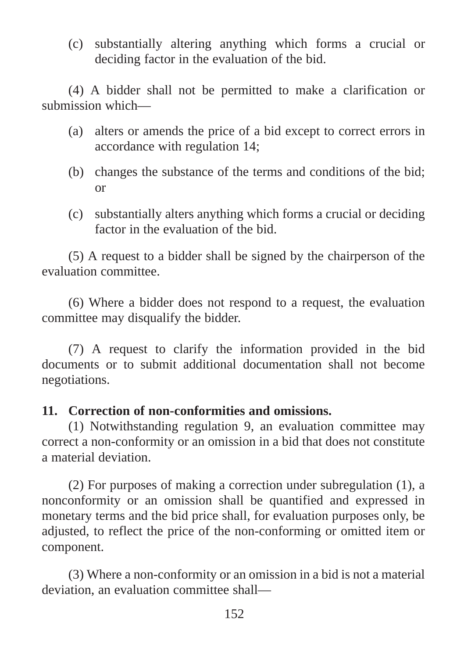(c) substantially altering anything which forms a crucial or deciding factor in the evaluation of the bid.

(4) A bidder shall not be permitted to make a clarification or submission which—

- (a) alters or amends the price of a bid except to correct errors in accordance with regulation 14;
- (b) changes the substance of the terms and conditions of the bid; or
- (c) substantially alters anything which forms a crucial or deciding factor in the evaluation of the bid.

(5) A request to a bidder shall be signed by the chairperson of the evaluation committee.

(6) Where a bidder does not respond to a request, the evaluation committee may disqualify the bidder.

(7) A request to clarify the information provided in the bid documents or to submit additional documentation shall not become negotiations.

### **11. Correction of non-conformities and omissions.**

(1) Notwithstanding regulation 9, an evaluation committee may correct a non-conformity or an omission in a bid that does not constitute a material deviation.

(2) For purposes of making a correction under subregulation (1), a nonconformity or an omission shall be quantified and expressed in monetary terms and the bid price shall, for evaluation purposes only, be adjusted, to reflect the price of the non-conforming or omitted item or component.

(3) Where a non-conformity or an omission in a bid is not a material deviation, an evaluation committee shall—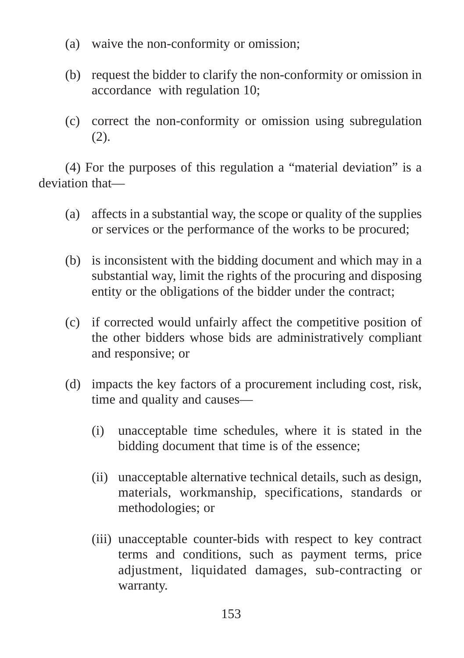- (a) waive the non-conformity or omission;
- (b) request the bidder to clarify the non-conformity or omission in accordance with regulation 10;
- (c) correct the non-conformity or omission using subregulation (2).

(4) For the purposes of this regulation a "material deviation" is a deviation that—

- (a) affects in a substantial way, the scope or quality of the supplies or services or the performance of the works to be procured;
- (b) is inconsistent with the bidding document and which may in a substantial way, limit the rights of the procuring and disposing entity or the obligations of the bidder under the contract;
- (c) if corrected would unfairly affect the competitive position of the other bidders whose bids are administratively compliant and responsive; or
- (d) impacts the key factors of a procurement including cost, risk, time and quality and causes—
	- (i) unacceptable time schedules, where it is stated in the bidding document that time is of the essence;
	- (ii) unacceptable alternative technical details, such as design, materials, workmanship, specifications, standards or methodologies; or
	- (iii) unacceptable counter-bids with respect to key contract terms and conditions, such as payment terms, price adjustment, liquidated damages, sub-contracting or warranty.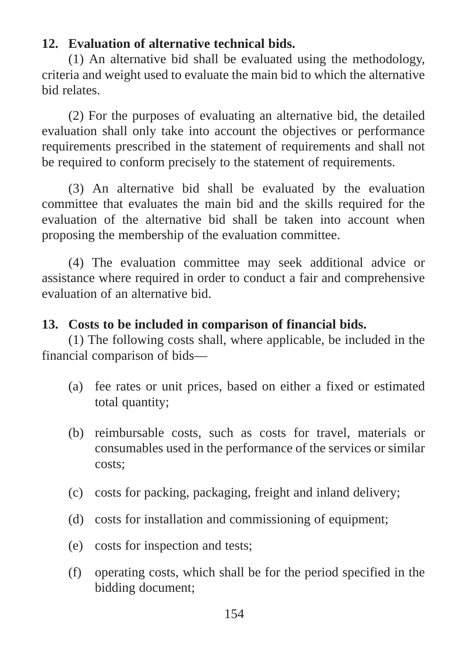# **12. Evaluation of alternative technical bids.**

(1) An alternative bid shall be evaluated using the methodology, criteria and weight used to evaluate the main bid to which the alternative bid relates.

(2) For the purposes of evaluating an alternative bid, the detailed evaluation shall only take into account the objectives or performance requirements prescribed in the statement of requirements and shall not be required to conform precisely to the statement of requirements.

(3) An alternative bid shall be evaluated by the evaluation committee that evaluates the main bid and the skills required for the evaluation of the alternative bid shall be taken into account when proposing the membership of the evaluation committee.

(4) The evaluation committee may seek additional advice or assistance where required in order to conduct a fair and comprehensive evaluation of an alternative bid.

## **13. Costs to be included in comparison of financial bids.**

(1) The following costs shall, where applicable, be included in the financial comparison of bids—

- (a) fee rates or unit prices, based on either a fixed or estimated total quantity;
- (b) reimbursable costs, such as costs for travel, materials or consumables used in the performance of the services or similar costs;
- (c) costs for packing, packaging, freight and inland delivery;
- (d) costs for installation and commissioning of equipment;
- (e) costs for inspection and tests;
- (f) operating costs, which shall be for the period specified in the bidding document;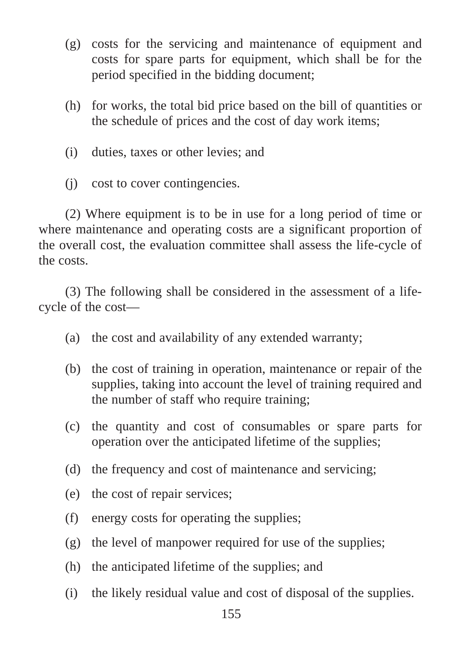- (g) costs for the servicing and maintenance of equipment and costs for spare parts for equipment, which shall be for the period specified in the bidding document;
- (h) for works, the total bid price based on the bill of quantities or the schedule of prices and the cost of day work items;
- (i) duties, taxes or other levies; and
- (j) cost to cover contingencies.

(2) Where equipment is to be in use for a long period of time or where maintenance and operating costs are a significant proportion of the overall cost, the evaluation committee shall assess the life-cycle of the costs.

(3) The following shall be considered in the assessment of a lifecycle of the cost—

- (a) the cost and availability of any extended warranty;
- (b) the cost of training in operation, maintenance or repair of the supplies, taking into account the level of training required and the number of staff who require training;
- (c) the quantity and cost of consumables or spare parts for operation over the anticipated lifetime of the supplies;
- (d) the frequency and cost of maintenance and servicing;
- (e) the cost of repair services;
- (f) energy costs for operating the supplies;
- (g) the level of manpower required for use of the supplies;
- (h) the anticipated lifetime of the supplies; and
- (i) the likely residual value and cost of disposal of the supplies.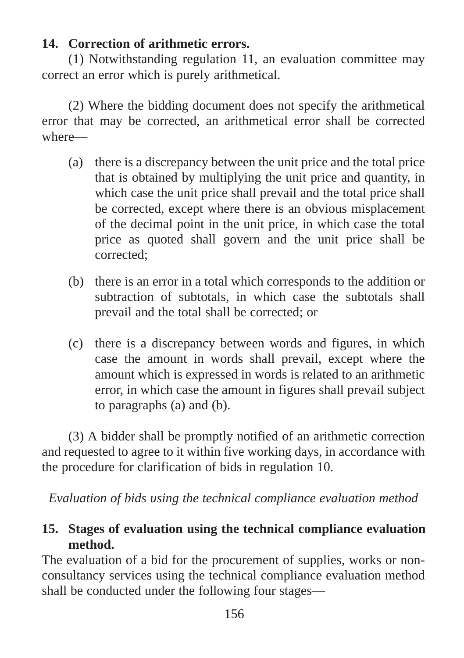## **14. Correction of arithmetic errors.**

(1) Notwithstanding regulation 11, an evaluation committee may correct an error which is purely arithmetical.

(2) Where the bidding document does not specify the arithmetical error that may be corrected, an arithmetical error shall be corrected where—

- (a) there is a discrepancy between the unit price and the total price that is obtained by multiplying the unit price and quantity, in which case the unit price shall prevail and the total price shall be corrected, except where there is an obvious misplacement of the decimal point in the unit price, in which case the total price as quoted shall govern and the unit price shall be corrected;
- (b) there is an error in a total which corresponds to the addition or subtraction of subtotals, in which case the subtotals shall prevail and the total shall be corrected; or
- (c) there is a discrepancy between words and figures, in which case the amount in words shall prevail, except where the amount which is expressed in words is related to an arithmetic error, in which case the amount in figures shall prevail subject to paragraphs (a) and (b).

(3) A bidder shall be promptly notified of an arithmetic correction and requested to agree to it within five working days, in accordance with the procedure for clarification of bids in regulation 10.

*Evaluation of bids using the technical compliance evaluation method* 

## **15. Stages of evaluation using the technical compliance evaluation method.**

The evaluation of a bid for the procurement of supplies, works or nonconsultancy services using the technical compliance evaluation method shall be conducted under the following four stages—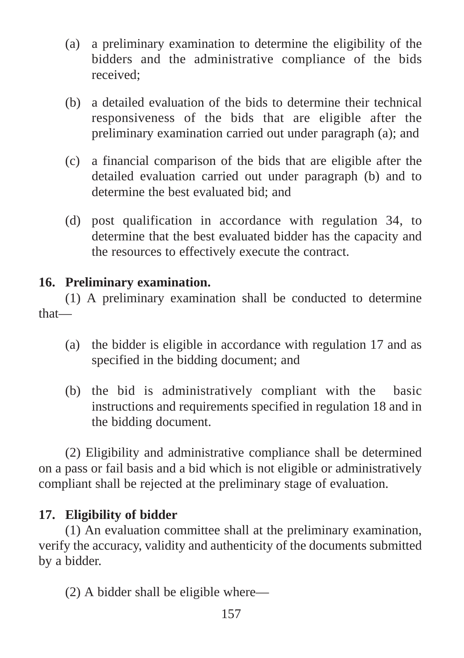- (a) a preliminary examination to determine the eligibility of the bidders and the administrative compliance of the bids received;
- (b) a detailed evaluation of the bids to determine their technical responsiveness of the bids that are eligible after the preliminary examination carried out under paragraph (a); and
- (c) a financial comparison of the bids that are eligible after the detailed evaluation carried out under paragraph (b) and to determine the best evaluated bid; and
- (d) post qualification in accordance with regulation 34, to determine that the best evaluated bidder has the capacity and the resources to effectively execute the contract.

## **16. Preliminary examination.**

(1) A preliminary examination shall be conducted to determine that—

- (a) the bidder is eligible in accordance with regulation 17 and as specified in the bidding document; and
- (b) the bid is administratively compliant with the basic instructions and requirements specified in regulation 18 and in the bidding document.

(2) Eligibility and administrative compliance shall be determined on a pass or fail basis and a bid which is not eligible or administratively compliant shall be rejected at the preliminary stage of evaluation.

# **17. Eligibility of bidder**

(1) An evaluation committee shall at the preliminary examination, verify the accuracy, validity and authenticity of the documents submitted by a bidder.

(2) A bidder shall be eligible where—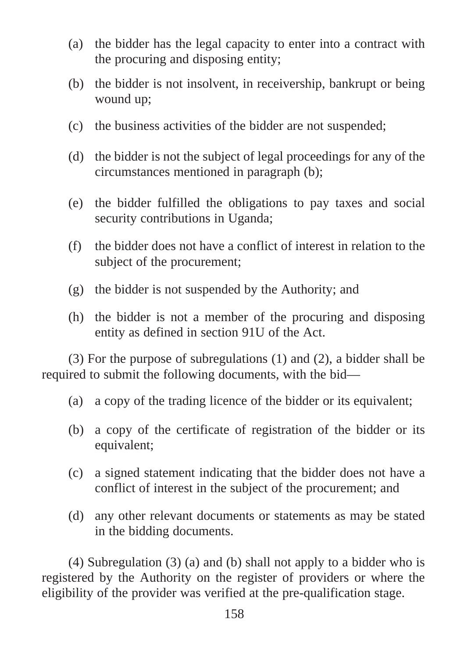- (a) the bidder has the legal capacity to enter into a contract with the procuring and disposing entity;
- (b) the bidder is not insolvent, in receivership, bankrupt or being wound up;
- (c) the business activities of the bidder are not suspended;
- (d) the bidder is not the subject of legal proceedings for any of the circumstances mentioned in paragraph (b);
- (e) the bidder fulfilled the obligations to pay taxes and social security contributions in Uganda;
- (f) the bidder does not have a conflict of interest in relation to the subject of the procurement;
- (g) the bidder is not suspended by the Authority; and
- (h) the bidder is not a member of the procuring and disposing entity as defined in section 91U of the Act.

(3) For the purpose of subregulations (1) and (2), a bidder shall be required to submit the following documents, with the bid—

- (a) a copy of the trading licence of the bidder or its equivalent;
- (b) a copy of the certificate of registration of the bidder or its equivalent;
- (c) a signed statement indicating that the bidder does not have a conflict of interest in the subject of the procurement; and
- (d) any other relevant documents or statements as may be stated in the bidding documents.

(4) Subregulation (3) (a) and (b) shall not apply to a bidder who is registered by the Authority on the register of providers or where the eligibility of the provider was verified at the pre-qualification stage.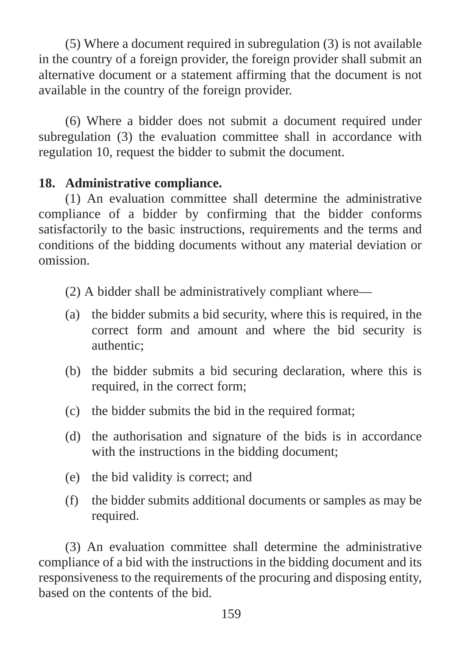(5) Where a document required in subregulation (3) is not available in the country of a foreign provider, the foreign provider shall submit an alternative document or a statement affirming that the document is not available in the country of the foreign provider.

(6) Where a bidder does not submit a document required under subregulation (3) the evaluation committee shall in accordance with regulation 10, request the bidder to submit the document.

### **18. Administrative compliance.**

(1) An evaluation committee shall determine the administrative compliance of a bidder by confirming that the bidder conforms satisfactorily to the basic instructions, requirements and the terms and conditions of the bidding documents without any material deviation or omission.

(2) A bidder shall be administratively compliant where—

- (a) the bidder submits a bid security, where this is required, in the correct form and amount and where the bid security is authentic;
- (b) the bidder submits a bid securing declaration, where this is required, in the correct form;
- (c) the bidder submits the bid in the required format;
- (d) the authorisation and signature of the bids is in accordance with the instructions in the bidding document;
- (e) the bid validity is correct; and
- (f) the bidder submits additional documents or samples as may be required.

(3) An evaluation committee shall determine the administrative compliance of a bid with the instructions in the bidding document and its responsiveness to the requirements of the procuring and disposing entity, based on the contents of the bid.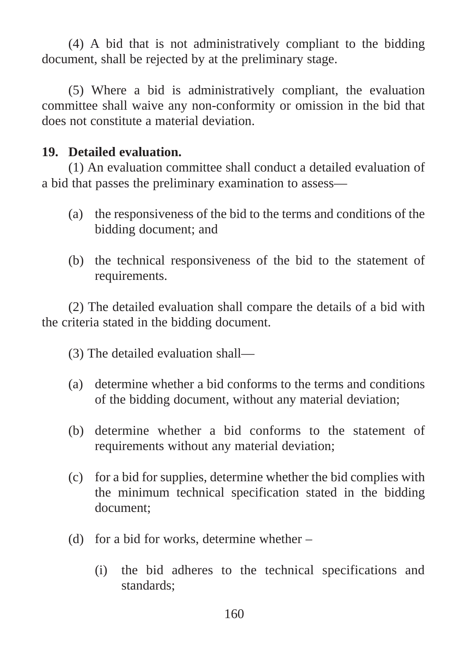(4) A bid that is not administratively compliant to the bidding document, shall be rejected by at the preliminary stage.

(5) Where a bid is administratively compliant, the evaluation committee shall waive any non-conformity or omission in the bid that does not constitute a material deviation.

#### **19. Detailed evaluation.**

(1) An evaluation committee shall conduct a detailed evaluation of a bid that passes the preliminary examination to assess—

- (a) the responsiveness of the bid to the terms and conditions of the bidding document; and
- (b) the technical responsiveness of the bid to the statement of requirements.

(2) The detailed evaluation shall compare the details of a bid with the criteria stated in the bidding document.

- (3) The detailed evaluation shall—
- (a) determine whether a bid conforms to the terms and conditions of the bidding document, without any material deviation;
- (b) determine whether a bid conforms to the statement of requirements without any material deviation;
- (c) for a bid for supplies, determine whether the bid complies with the minimum technical specification stated in the bidding document;
- (d) for a bid for works, determine whether
	- (i) the bid adheres to the technical specifications and standards;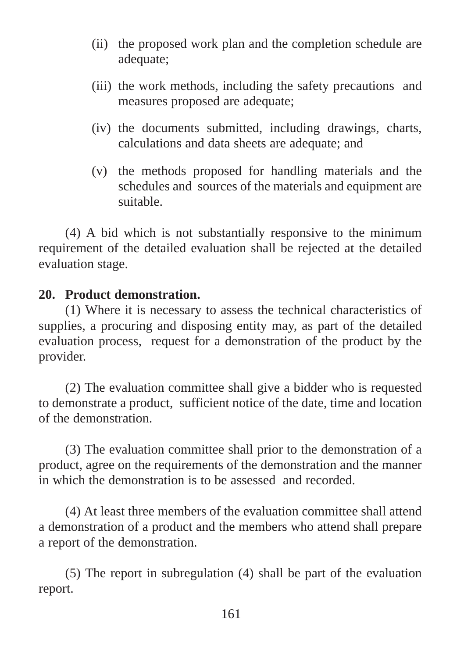- (ii) the proposed work plan and the completion schedule are adequate;
- (iii) the work methods, including the safety precautions and measures proposed are adequate;
- (iv) the documents submitted, including drawings, charts, calculations and data sheets are adequate; and
- (v) the methods proposed for handling materials and the schedules and sources of the materials and equipment are suitable.

(4) A bid which is not substantially responsive to the minimum requirement of the detailed evaluation shall be rejected at the detailed evaluation stage.

### **20. Product demonstration.**

(1) Where it is necessary to assess the technical characteristics of supplies, a procuring and disposing entity may, as part of the detailed evaluation process, request for a demonstration of the product by the provider.

(2) The evaluation committee shall give a bidder who is requested to demonstrate a product, sufficient notice of the date, time and location of the demonstration.

(3) The evaluation committee shall prior to the demonstration of a product, agree on the requirements of the demonstration and the manner in which the demonstration is to be assessed and recorded.

(4) At least three members of the evaluation committee shall attend a demonstration of a product and the members who attend shall prepare a report of the demonstration.

(5) The report in subregulation (4) shall be part of the evaluation report.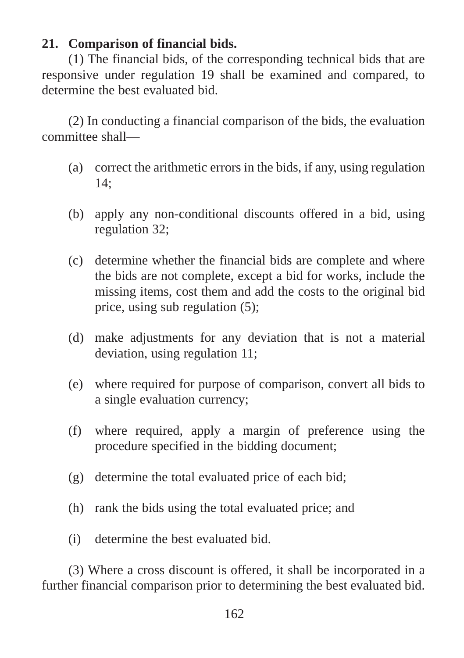## **21. Comparison of financial bids.**

(1) The financial bids, of the corresponding technical bids that are responsive under regulation 19 shall be examined and compared, to determine the best evaluated bid.

(2) In conducting a financial comparison of the bids, the evaluation committee shall—

- (a) correct the arithmetic errors in the bids, if any, using regulation 14;
- (b) apply any non-conditional discounts offered in a bid, using regulation 32;
- (c) determine whether the financial bids are complete and where the bids are not complete, except a bid for works, include the missing items, cost them and add the costs to the original bid price, using sub regulation (5);
- (d) make adjustments for any deviation that is not a material deviation, using regulation 11;
- (e) where required for purpose of comparison, convert all bids to a single evaluation currency;
- (f) where required, apply a margin of preference using the procedure specified in the bidding document;
- (g) determine the total evaluated price of each bid;
- (h) rank the bids using the total evaluated price; and
- (i) determine the best evaluated bid.

(3) Where a cross discount is offered, it shall be incorporated in a further financial comparison prior to determining the best evaluated bid.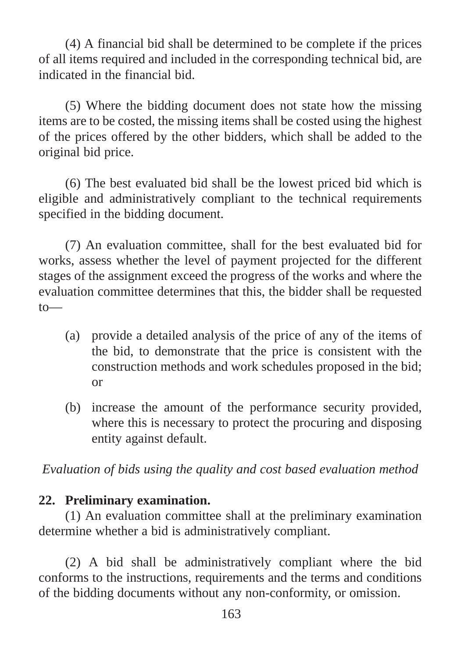(4) A financial bid shall be determined to be complete if the prices of all items required and included in the corresponding technical bid, are indicated in the financial bid.

(5) Where the bidding document does not state how the missing items are to be costed, the missing items shall be costed using the highest of the prices offered by the other bidders, which shall be added to the original bid price.

(6) The best evaluated bid shall be the lowest priced bid which is eligible and administratively compliant to the technical requirements specified in the bidding document.

(7) An evaluation committee, shall for the best evaluated bid for works, assess whether the level of payment projected for the different stages of the assignment exceed the progress of the works and where the evaluation committee determines that this, the bidder shall be requested  $to$ —

- (a) provide a detailed analysis of the price of any of the items of the bid, to demonstrate that the price is consistent with the construction methods and work schedules proposed in the bid; or
- (b) increase the amount of the performance security provided, where this is necessary to protect the procuring and disposing entity against default.

*Evaluation of bids using the quality and cost based evaluation method*

#### **22. Preliminary examination.**

(1) An evaluation committee shall at the preliminary examination determine whether a bid is administratively compliant.

(2) A bid shall be administratively compliant where the bid conforms to the instructions, requirements and the terms and conditions of the bidding documents without any non-conformity, or omission.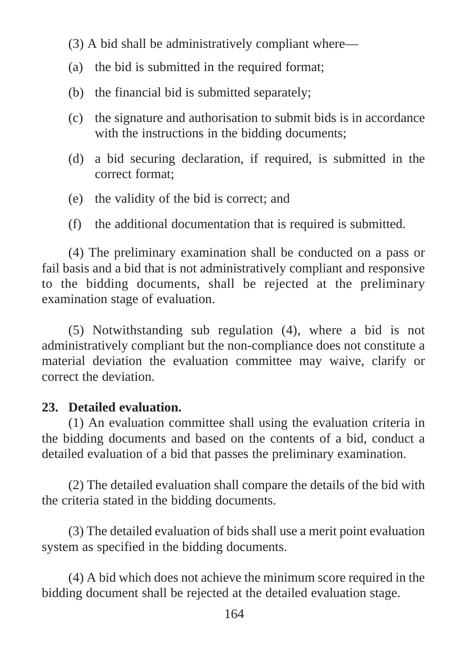- (3) A bid shall be administratively compliant where—
- (a) the bid is submitted in the required format;
- (b) the financial bid is submitted separately;
- (c) the signature and authorisation to submit bids is in accordance with the instructions in the bidding documents;
- (d) a bid securing declaration, if required, is submitted in the correct format;
- (e) the validity of the bid is correct; and
- (f) the additional documentation that is required is submitted.

(4) The preliminary examination shall be conducted on a pass or fail basis and a bid that is not administratively compliant and responsive to the bidding documents, shall be rejected at the preliminary examination stage of evaluation.

(5) Notwithstanding sub regulation (4), where a bid is not administratively compliant but the non-compliance does not constitute a material deviation the evaluation committee may waive, clarify or correct the deviation.

#### **23. Detailed evaluation.**

(1) An evaluation committee shall using the evaluation criteria in the bidding documents and based on the contents of a bid, conduct a detailed evaluation of a bid that passes the preliminary examination.

(2) The detailed evaluation shall compare the details of the bid with the criteria stated in the bidding documents.

(3) The detailed evaluation of bids shall use a merit point evaluation system as specified in the bidding documents.

(4) A bid which does not achieve the minimum score required in the bidding document shall be rejected at the detailed evaluation stage.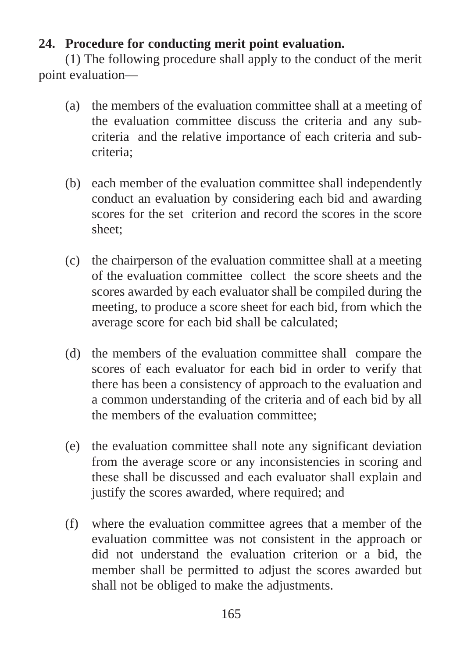# **24. Procedure for conducting merit point evaluation.**

(1) The following procedure shall apply to the conduct of the merit point evaluation—

- (a) the members of the evaluation committee shall at a meeting of the evaluation committee discuss the criteria and any subcriteria and the relative importance of each criteria and subcriteria;
- (b) each member of the evaluation committee shall independently conduct an evaluation by considering each bid and awarding scores for the set criterion and record the scores in the score sheet;
- (c) the chairperson of the evaluation committee shall at a meeting of the evaluation committee collect the score sheets and the scores awarded by each evaluator shall be compiled during the meeting, to produce a score sheet for each bid, from which the average score for each bid shall be calculated;
- (d) the members of the evaluation committee shall compare the scores of each evaluator for each bid in order to verify that there has been a consistency of approach to the evaluation and a common understanding of the criteria and of each bid by all the members of the evaluation committee;
- (e) the evaluation committee shall note any significant deviation from the average score or any inconsistencies in scoring and these shall be discussed and each evaluator shall explain and justify the scores awarded, where required; and
- (f) where the evaluation committee agrees that a member of the evaluation committee was not consistent in the approach or did not understand the evaluation criterion or a bid, the member shall be permitted to adjust the scores awarded but shall not be obliged to make the adjustments.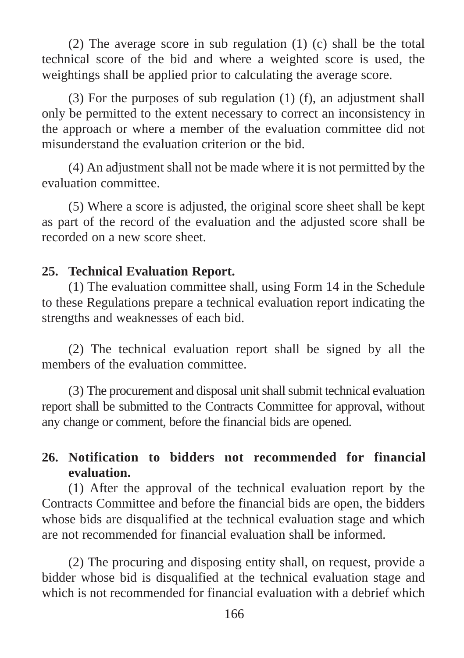(2) The average score in sub regulation (1) (c) shall be the total technical score of the bid and where a weighted score is used, the weightings shall be applied prior to calculating the average score.

(3) For the purposes of sub regulation (1) (f), an adjustment shall only be permitted to the extent necessary to correct an inconsistency in the approach or where a member of the evaluation committee did not misunderstand the evaluation criterion or the bid.

(4) An adjustment shall not be made where it is not permitted by the evaluation committee.

(5) Where a score is adjusted, the original score sheet shall be kept as part of the record of the evaluation and the adjusted score shall be recorded on a new score sheet.

## **25. Technical Evaluation Report.**

(1) The evaluation committee shall, using Form 14 in the Schedule to these Regulations prepare a technical evaluation report indicating the strengths and weaknesses of each bid.

(2) The technical evaluation report shall be signed by all the members of the evaluation committee.

(3) The procurement and disposal unit shall submit technical evaluation report shall be submitted to the Contracts Committee for approval, without any change or comment, before the financial bids are opened.

# **26. Notification to bidders not recommended for financial evaluation.**

(1) After the approval of the technical evaluation report by the Contracts Committee and before the financial bids are open, the bidders whose bids are disqualified at the technical evaluation stage and which are not recommended for financial evaluation shall be informed.

(2) The procuring and disposing entity shall, on request, provide a bidder whose bid is disqualified at the technical evaluation stage and which is not recommended for financial evaluation with a debrief which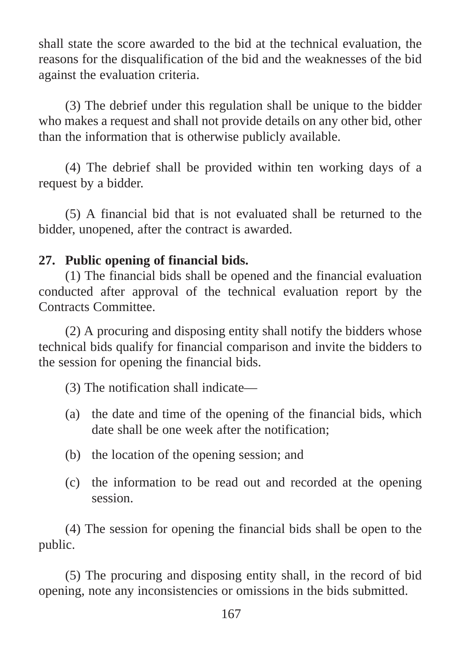shall state the score awarded to the bid at the technical evaluation, the reasons for the disqualification of the bid and the weaknesses of the bid against the evaluation criteria.

(3) The debrief under this regulation shall be unique to the bidder who makes a request and shall not provide details on any other bid, other than the information that is otherwise publicly available.

(4) The debrief shall be provided within ten working days of a request by a bidder.

(5) A financial bid that is not evaluated shall be returned to the bidder, unopened, after the contract is awarded.

### **27. Public opening of financial bids.**

(1) The financial bids shall be opened and the financial evaluation conducted after approval of the technical evaluation report by the Contracts Committee.

(2) A procuring and disposing entity shall notify the bidders whose technical bids qualify for financial comparison and invite the bidders to the session for opening the financial bids.

(3) The notification shall indicate—

- (a) the date and time of the opening of the financial bids, which date shall be one week after the notification;
- (b) the location of the opening session; and
- (c) the information to be read out and recorded at the opening session.

(4) The session for opening the financial bids shall be open to the public.

(5) The procuring and disposing entity shall, in the record of bid opening, note any inconsistencies or omissions in the bids submitted.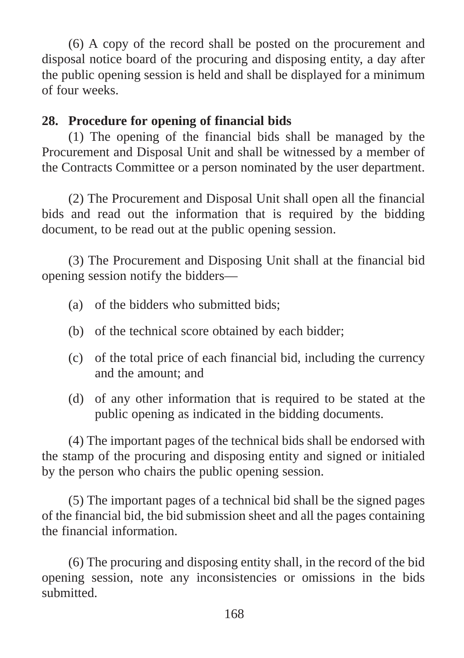(6) A copy of the record shall be posted on the procurement and disposal notice board of the procuring and disposing entity, a day after the public opening session is held and shall be displayed for a minimum of four weeks.

### **28. Procedure for opening of financial bids**

(1) The opening of the financial bids shall be managed by the Procurement and Disposal Unit and shall be witnessed by a member of the Contracts Committee or a person nominated by the user department.

(2) The Procurement and Disposal Unit shall open all the financial bids and read out the information that is required by the bidding document, to be read out at the public opening session.

(3) The Procurement and Disposing Unit shall at the financial bid opening session notify the bidders—

- (a) of the bidders who submitted bids;
- (b) of the technical score obtained by each bidder;
- (c) of the total price of each financial bid, including the currency and the amount; and
- (d) of any other information that is required to be stated at the public opening as indicated in the bidding documents.

(4) The important pages of the technical bids shall be endorsed with the stamp of the procuring and disposing entity and signed or initialed by the person who chairs the public opening session.

(5) The important pages of a technical bid shall be the signed pages of the financial bid, the bid submission sheet and all the pages containing the financial information.

(6) The procuring and disposing entity shall, in the record of the bid opening session, note any inconsistencies or omissions in the bids submitted.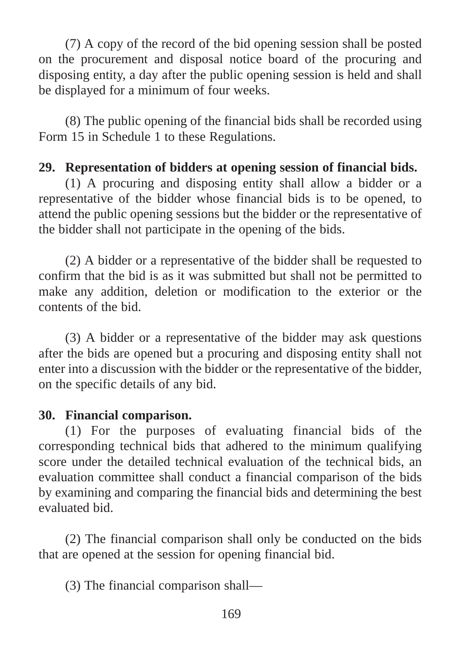(7) A copy of the record of the bid opening session shall be posted on the procurement and disposal notice board of the procuring and disposing entity, a day after the public opening session is held and shall be displayed for a minimum of four weeks.

(8) The public opening of the financial bids shall be recorded using Form 15 in Schedule 1 to these Regulations.

#### **29. Representation of bidders at opening session of financial bids.**

(1) A procuring and disposing entity shall allow a bidder or a representative of the bidder whose financial bids is to be opened, to attend the public opening sessions but the bidder or the representative of the bidder shall not participate in the opening of the bids.

(2) A bidder or a representative of the bidder shall be requested to confirm that the bid is as it was submitted but shall not be permitted to make any addition, deletion or modification to the exterior or the contents of the bid.

(3) A bidder or a representative of the bidder may ask questions after the bids are opened but a procuring and disposing entity shall not enter into a discussion with the bidder or the representative of the bidder, on the specific details of any bid.

#### **30. Financial comparison.**

(1) For the purposes of evaluating financial bids of the corresponding technical bids that adhered to the minimum qualifying score under the detailed technical evaluation of the technical bids, an evaluation committee shall conduct a financial comparison of the bids by examining and comparing the financial bids and determining the best evaluated bid.

(2) The financial comparison shall only be conducted on the bids that are opened at the session for opening financial bid.

(3) The financial comparison shall—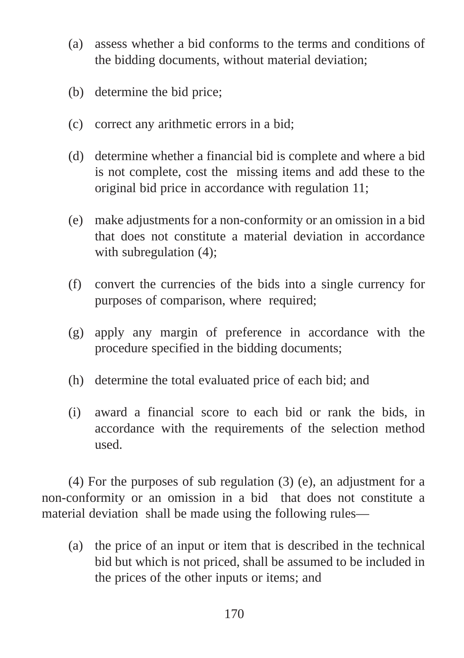- (a) assess whether a bid conforms to the terms and conditions of the bidding documents, without material deviation;
- (b) determine the bid price;
- (c) correct any arithmetic errors in a bid;
- (d) determine whether a financial bid is complete and where a bid is not complete, cost the missing items and add these to the original bid price in accordance with regulation 11;
- (e) make adjustments for a non-conformity or an omission in a bid that does not constitute a material deviation in accordance with subregulation (4):
- (f) convert the currencies of the bids into a single currency for purposes of comparison, where required;
- (g) apply any margin of preference in accordance with the procedure specified in the bidding documents;
- (h) determine the total evaluated price of each bid; and
- (i) award a financial score to each bid or rank the bids, in accordance with the requirements of the selection method used.

(4) For the purposes of sub regulation (3) (e), an adjustment for a non-conformity or an omission in a bid that does not constitute a material deviation shall be made using the following rules—

(a) the price of an input or item that is described in the technical bid but which is not priced, shall be assumed to be included in the prices of the other inputs or items; and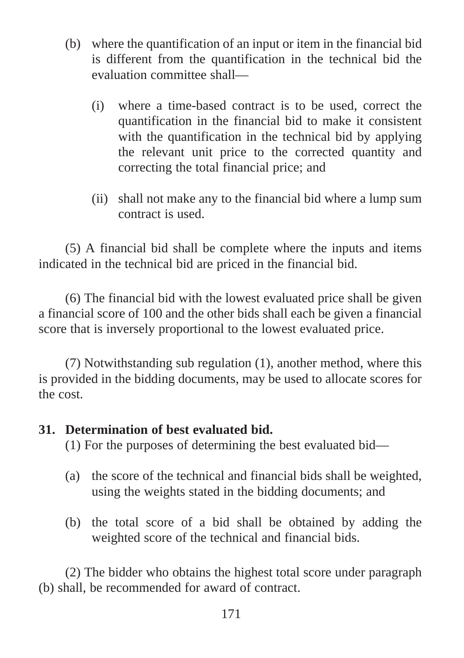- (b) where the quantification of an input or item in the financial bid is different from the quantification in the technical bid the evaluation committee shall—
	- (i) where a time-based contract is to be used, correct the quantification in the financial bid to make it consistent with the quantification in the technical bid by applying the relevant unit price to the corrected quantity and correcting the total financial price; and
	- (ii) shall not make any to the financial bid where a lump sum contract is used.

(5) A financial bid shall be complete where the inputs and items indicated in the technical bid are priced in the financial bid.

(6) The financial bid with the lowest evaluated price shall be given a financial score of 100 and the other bids shall each be given a financial score that is inversely proportional to the lowest evaluated price.

(7) Notwithstanding sub regulation (1), another method, where this is provided in the bidding documents, may be used to allocate scores for the cost.

#### **31. Determination of best evaluated bid.**

(1) For the purposes of determining the best evaluated bid—

- (a) the score of the technical and financial bids shall be weighted, using the weights stated in the bidding documents; and
- (b) the total score of a bid shall be obtained by adding the weighted score of the technical and financial bids.

(2) The bidder who obtains the highest total score under paragraph (b) shall, be recommended for award of contract.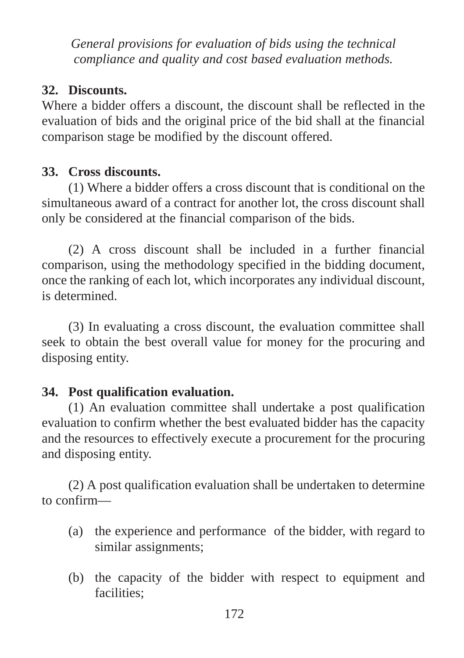*General provisions for evaluation of bids using the technical compliance and quality and cost based evaluation methods.*

# **32. Discounts.**

Where a bidder offers a discount, the discount shall be reflected in the evaluation of bids and the original price of the bid shall at the financial comparison stage be modified by the discount offered.

# **33. Cross discounts.**

(1) Where a bidder offers a cross discount that is conditional on the simultaneous award of a contract for another lot, the cross discount shall only be considered at the financial comparison of the bids.

(2) A cross discount shall be included in a further financial comparison, using the methodology specified in the bidding document, once the ranking of each lot, which incorporates any individual discount, is determined.

(3) In evaluating a cross discount, the evaluation committee shall seek to obtain the best overall value for money for the procuring and disposing entity.

# **34. Post qualification evaluation.**

(1) An evaluation committee shall undertake a post qualification evaluation to confirm whether the best evaluated bidder has the capacity and the resources to effectively execute a procurement for the procuring and disposing entity.

(2) A post qualification evaluation shall be undertaken to determine to confirm—

- (a) the experience and performance of the bidder, with regard to similar assignments;
- (b) the capacity of the bidder with respect to equipment and facilities;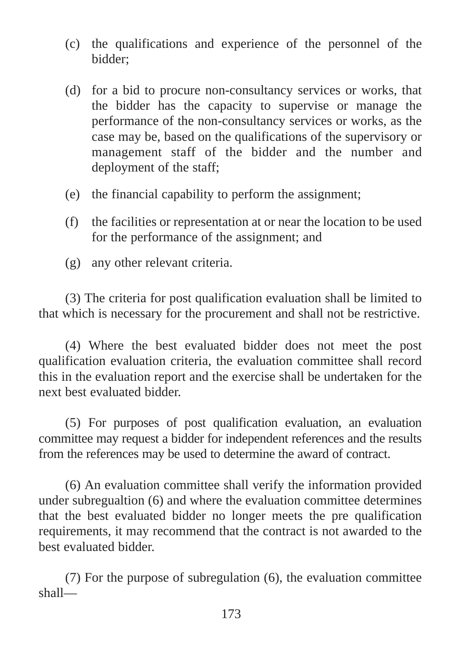- (c) the qualifications and experience of the personnel of the bidder;
- (d) for a bid to procure non-consultancy services or works, that the bidder has the capacity to supervise or manage the performance of the non-consultancy services or works, as the case may be, based on the qualifications of the supervisory or management staff of the bidder and the number and deployment of the staff;
- (e) the financial capability to perform the assignment;
- (f) the facilities or representation at or near the location to be used for the performance of the assignment; and
- (g) any other relevant criteria.

(3) The criteria for post qualification evaluation shall be limited to that which is necessary for the procurement and shall not be restrictive.

(4) Where the best evaluated bidder does not meet the post qualification evaluation criteria, the evaluation committee shall record this in the evaluation report and the exercise shall be undertaken for the next best evaluated bidder.

(5) For purposes of post qualification evaluation, an evaluation committee may request a bidder for independent references and the results from the references may be used to determine the award of contract.

(6) An evaluation committee shall verify the information provided under subregualtion (6) and where the evaluation committee determines that the best evaluated bidder no longer meets the pre qualification requirements, it may recommend that the contract is not awarded to the best evaluated bidder.

(7) For the purpose of subregulation (6), the evaluation committee shall—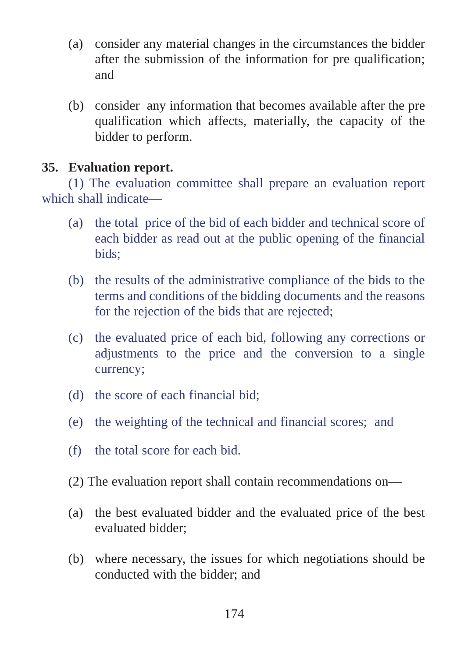- (a) consider any material changes in the circumstances the bidder after the submission of the information for pre qualification; and
- (b) consider any information that becomes available after the pre qualification which affects, materially, the capacity of the bidder to perform.

#### **35. Evaluation report.**

(1) The evaluation committee shall prepare an evaluation report which shall indicate—

- (a) the total price of the bid of each bidder and technical score of each bidder as read out at the public opening of the financial bids;
- (b) the results of the administrative compliance of the bids to the terms and conditions of the bidding documents and the reasons for the rejection of the bids that are rejected;
- (c) the evaluated price of each bid, following any corrections or adjustments to the price and the conversion to a single currency;
- (d) the score of each financial bid;
- (e) the weighting of the technical and financial scores; and
- (f) the total score for each bid.
- (2) The evaluation report shall contain recommendations on—
- (a) the best evaluated bidder and the evaluated price of the best evaluated bidder;
- (b) where necessary, the issues for which negotiations should be conducted with the bidder; and